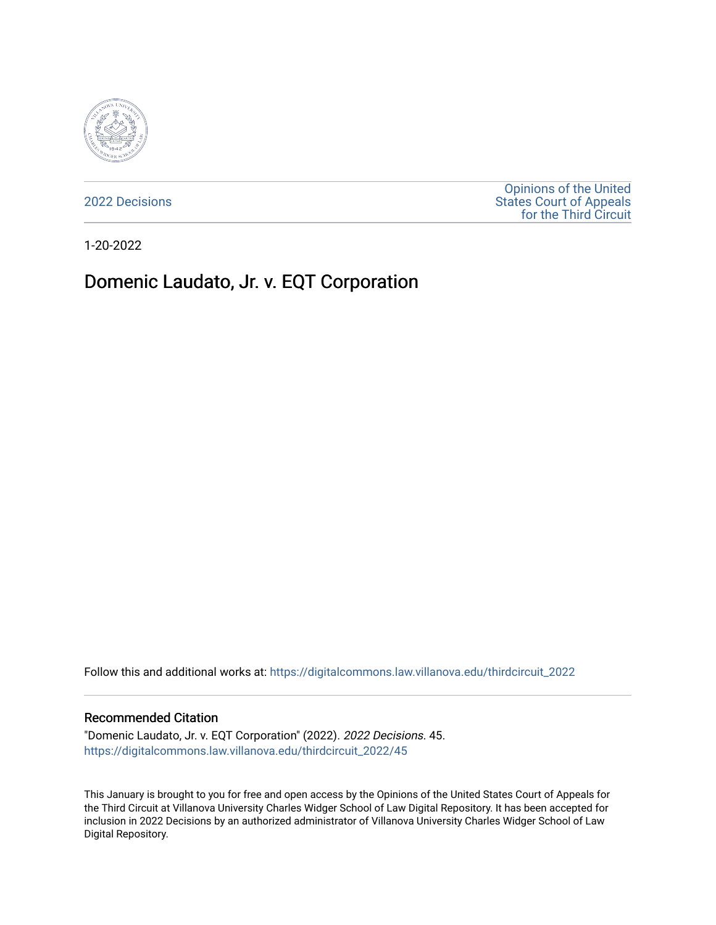

[2022 Decisions](https://digitalcommons.law.villanova.edu/thirdcircuit_2022)

[Opinions of the United](https://digitalcommons.law.villanova.edu/thirdcircuit)  [States Court of Appeals](https://digitalcommons.law.villanova.edu/thirdcircuit)  [for the Third Circuit](https://digitalcommons.law.villanova.edu/thirdcircuit) 

1-20-2022

# Domenic Laudato, Jr. v. EQT Corporation

Follow this and additional works at: [https://digitalcommons.law.villanova.edu/thirdcircuit\\_2022](https://digitalcommons.law.villanova.edu/thirdcircuit_2022?utm_source=digitalcommons.law.villanova.edu%2Fthirdcircuit_2022%2F45&utm_medium=PDF&utm_campaign=PDFCoverPages) 

#### Recommended Citation

"Domenic Laudato, Jr. v. EQT Corporation" (2022). 2022 Decisions. 45. [https://digitalcommons.law.villanova.edu/thirdcircuit\\_2022/45](https://digitalcommons.law.villanova.edu/thirdcircuit_2022/45?utm_source=digitalcommons.law.villanova.edu%2Fthirdcircuit_2022%2F45&utm_medium=PDF&utm_campaign=PDFCoverPages)

This January is brought to you for free and open access by the Opinions of the United States Court of Appeals for the Third Circuit at Villanova University Charles Widger School of Law Digital Repository. It has been accepted for inclusion in 2022 Decisions by an authorized administrator of Villanova University Charles Widger School of Law Digital Repository.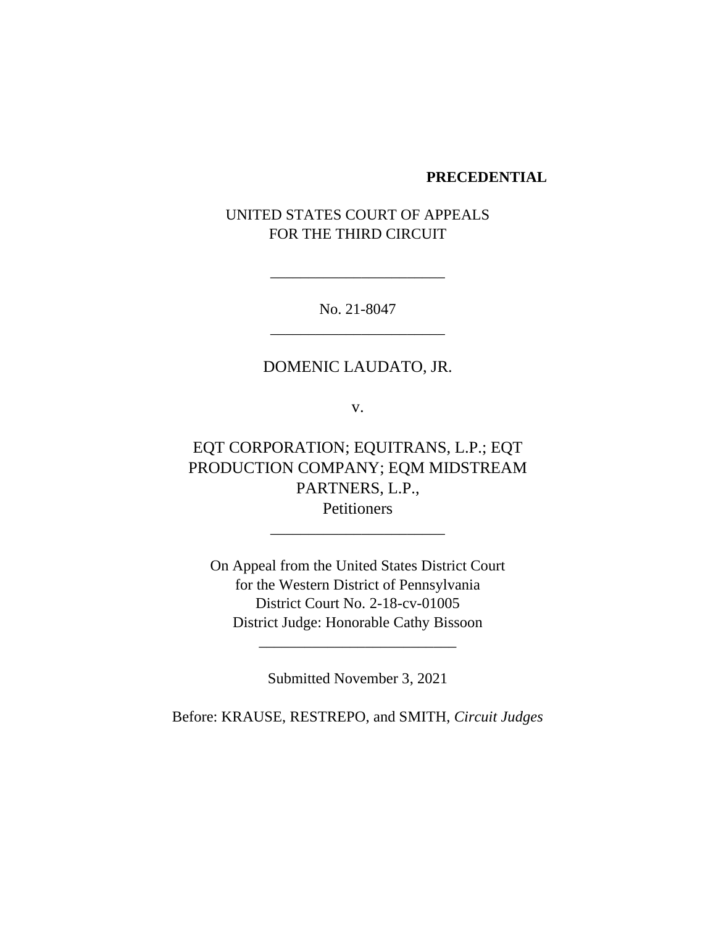#### **PRECEDENTIAL**

## UNITED STATES COURT OF APPEALS FOR THE THIRD CIRCUIT

No. 21-8047 \_\_\_\_\_\_\_\_\_\_\_\_\_\_\_\_\_\_\_\_\_\_\_

\_\_\_\_\_\_\_\_\_\_\_\_\_\_\_\_\_\_\_\_\_\_\_

### DOMENIC LAUDATO, JR.

v.

EQT CORPORATION; EQUITRANS, L.P.; EQT PRODUCTION COMPANY; EQM MIDSTREAM PARTNERS, L.P., **Petitioners** 

\_\_\_\_\_\_\_\_\_\_\_\_\_\_\_\_\_\_\_\_\_\_\_

On Appeal from the United States District Court for the Western District of Pennsylvania District Court No. 2-18-cv-01005 District Judge: Honorable Cathy Bissoon

Submitted November 3, 2021

\_\_\_\_\_\_\_\_\_\_\_\_\_\_\_\_\_\_\_\_\_\_\_\_\_\_

Before: KRAUSE, RESTREPO, and SMITH, *Circuit Judges*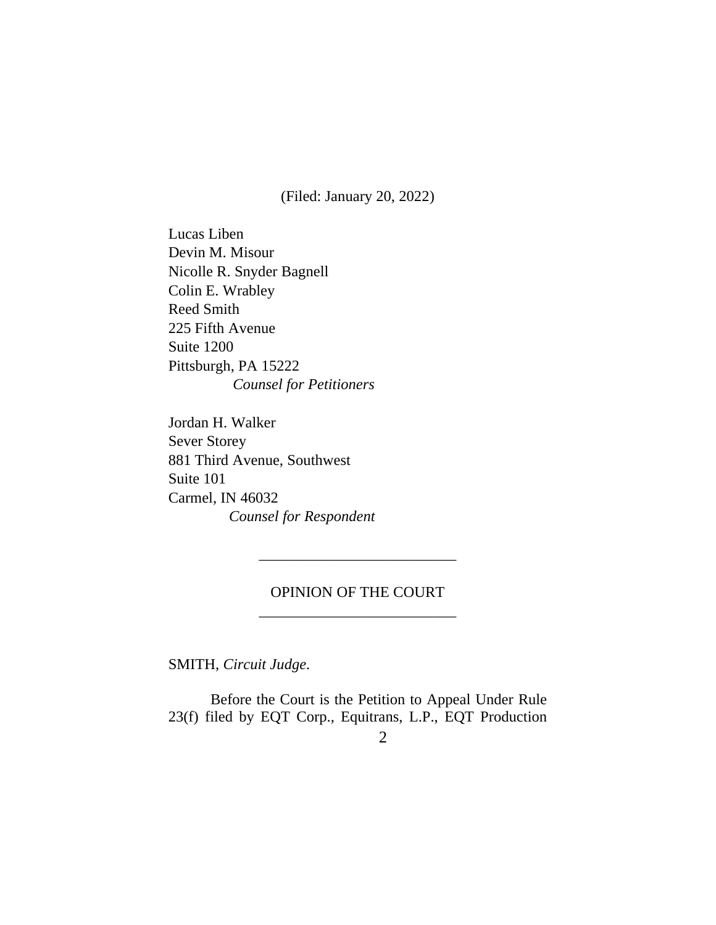(Filed: January 20, 2022)

Lucas Liben Devin M. Misour Nicolle R. Snyder Bagnell Colin E. Wrabley Reed Smith 225 Fifth Avenue Suite 1200 Pittsburgh, PA 15222  *Counsel for Petitioners*

Jordan H. Walker Sever Storey 881 Third Avenue, Southwest Suite 101 Carmel, IN 46032 *Counsel for Respondent*

### OPINION OF THE COURT \_\_\_\_\_\_\_\_\_\_\_\_\_\_\_\_\_\_\_\_\_\_\_\_\_\_

\_\_\_\_\_\_\_\_\_\_\_\_\_\_\_\_\_\_\_\_\_\_\_\_\_\_

SMITH, *Circuit Judge*.

Before the Court is the Petition to Appeal Under Rule 23(f) filed by EQT Corp., Equitrans, L.P., EQT Production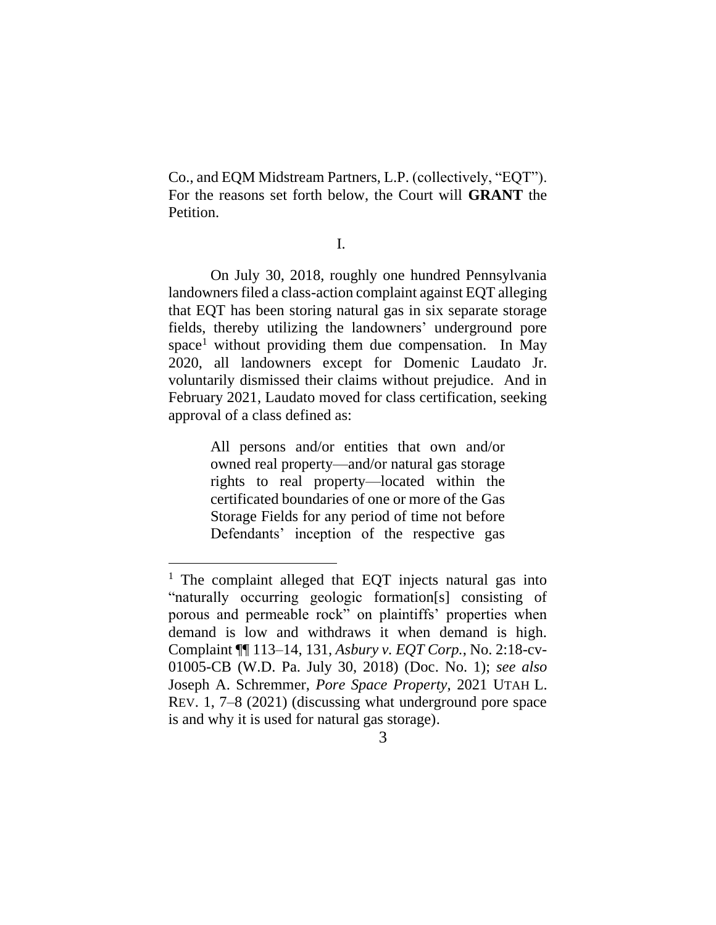Co., and EQM Midstream Partners, L.P. (collectively, "EQT"). For the reasons set forth below, the Court will **GRANT** the Petition.

I.

On July 30, 2018, roughly one hundred Pennsylvania landowners filed a class-action complaint against EQT alleging that EQT has been storing natural gas in six separate storage fields, thereby utilizing the landowners' underground pore space<sup>1</sup> without providing them due compensation. In May 2020, all landowners except for Domenic Laudato Jr. voluntarily dismissed their claims without prejudice. And in February 2021, Laudato moved for class certification, seeking approval of a class defined as:

> All persons and/or entities that own and/or owned real property—and/or natural gas storage rights to real property—located within the certificated boundaries of one or more of the Gas Storage Fields for any period of time not before Defendants' inception of the respective gas

<sup>&</sup>lt;sup>1</sup> The complaint alleged that EQT injects natural gas into "naturally occurring geologic formation[s] consisting of porous and permeable rock" on plaintiffs' properties when demand is low and withdraws it when demand is high. Complaint ¶¶ 113–14, 131, *Asbury v. EQT Corp.*, No. 2:18-cv-01005-CB (W.D. Pa. July 30, 2018) (Doc. No. 1); *see also* Joseph A. Schremmer, *Pore Space Property*, 2021 UTAH L. REV. 1, 7–8 (2021) (discussing what underground pore space is and why it is used for natural gas storage).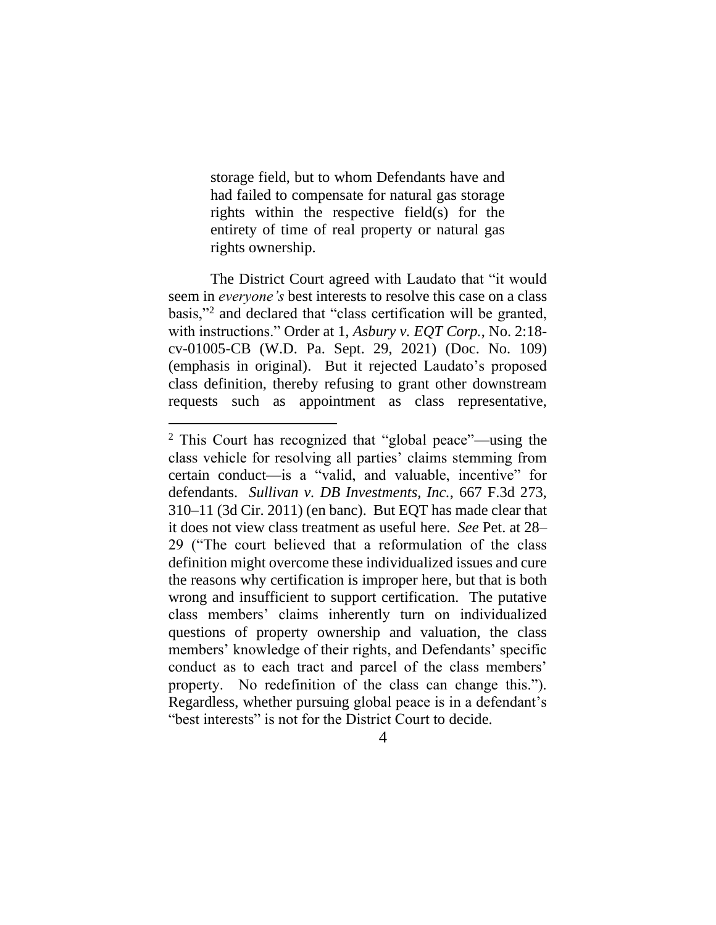storage field, but to whom Defendants have and had failed to compensate for natural gas storage rights within the respective field(s) for the entirety of time of real property or natural gas rights ownership.

The District Court agreed with Laudato that "it would seem in *everyone's* best interests to resolve this case on a class basis,"<sup>2</sup> and declared that "class certification will be granted, with instructions." Order at 1, *Asbury v. EQT Corp.*, No. 2:18 cv-01005-CB (W.D. Pa. Sept. 29, 2021) (Doc. No. 109) (emphasis in original). But it rejected Laudato's proposed class definition, thereby refusing to grant other downstream requests such as appointment as class representative,

<sup>2</sup> This Court has recognized that "global peace"—using the class vehicle for resolving all parties' claims stemming from certain conduct—is a "valid, and valuable, incentive" for defendants. *Sullivan v. DB Investments, Inc.*, 667 F.3d 273, 310–11 (3d Cir. 2011) (en banc). But EQT has made clear that it does not view class treatment as useful here. *See* Pet. at 28– 29 ("The court believed that a reformulation of the class definition might overcome these individualized issues and cure the reasons why certification is improper here, but that is both wrong and insufficient to support certification. The putative class members' claims inherently turn on individualized questions of property ownership and valuation, the class members' knowledge of their rights, and Defendants' specific conduct as to each tract and parcel of the class members' property. No redefinition of the class can change this."). Regardless, whether pursuing global peace is in a defendant's "best interests" is not for the District Court to decide.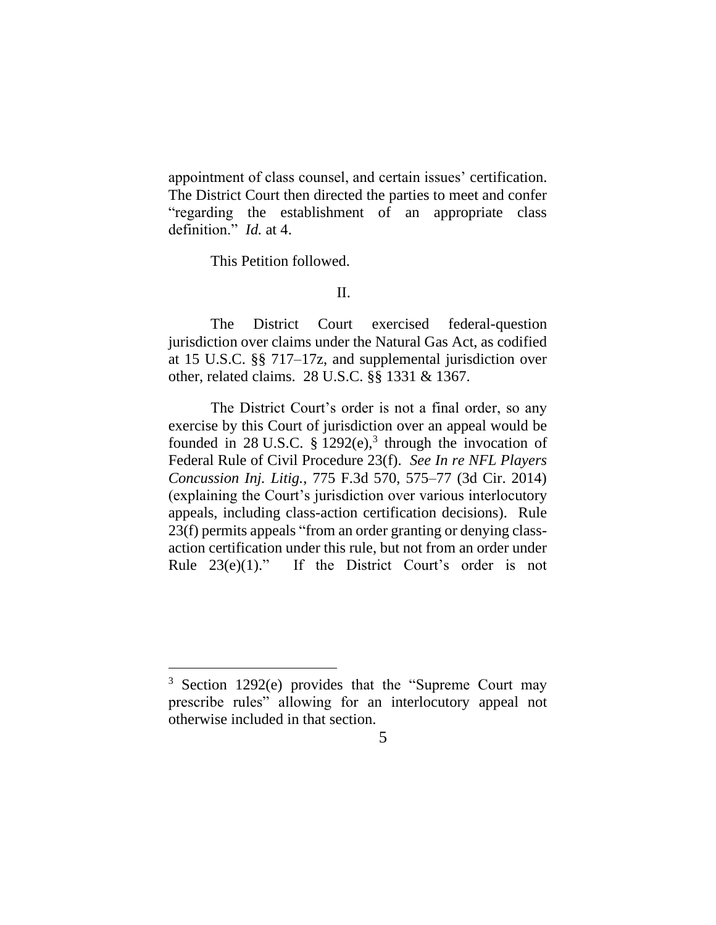appointment of class counsel, and certain issues' certification. The District Court then directed the parties to meet and confer "regarding the establishment of an appropriate class definition." *Id.* at 4.

This Petition followed.

#### II.

The District Court exercised federal-question jurisdiction over claims under the Natural Gas Act, as codified at 15 U.S.C. §§ 717–17z, and supplemental jurisdiction over other, related claims. 28 U.S.C. §§ 1331 & 1367.

The District Court's order is not a final order, so any exercise by this Court of jurisdiction over an appeal would be founded in 28 U.S.C.  $\S 1292(e)$ ,<sup>3</sup> through the invocation of Federal Rule of Civil Procedure 23(f). *See In re NFL Players Concussion Inj. Litig.*, 775 F.3d 570, 575–77 (3d Cir. 2014) (explaining the Court's jurisdiction over various interlocutory appeals, including class-action certification decisions). Rule 23(f) permits appeals "from an order granting or denying classaction certification under this rule, but not from an order under Rule 23(e)(1)." If the District Court's order is not

<sup>3</sup> Section 1292(e) provides that the "Supreme Court may prescribe rules" allowing for an interlocutory appeal not otherwise included in that section.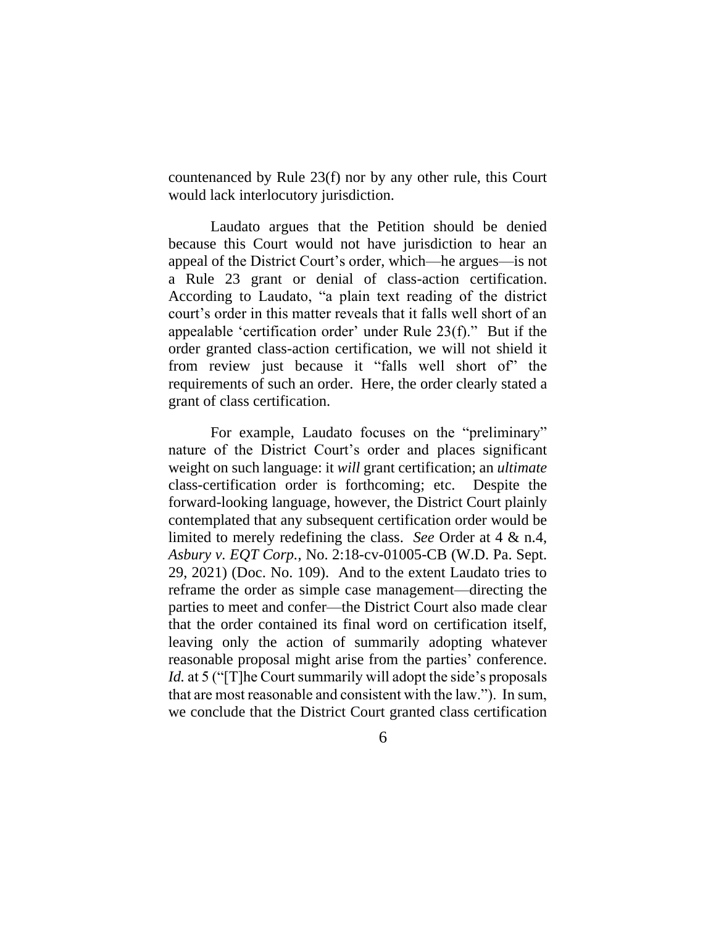countenanced by Rule 23(f) nor by any other rule, this Court would lack interlocutory jurisdiction.

Laudato argues that the Petition should be denied because this Court would not have jurisdiction to hear an appeal of the District Court's order, which—he argues—is not a Rule 23 grant or denial of class-action certification. According to Laudato, "a plain text reading of the district court's order in this matter reveals that it falls well short of an appealable 'certification order' under Rule 23(f)." But if the order granted class-action certification, we will not shield it from review just because it "falls well short of" the requirements of such an order. Here, the order clearly stated a grant of class certification.

For example, Laudato focuses on the "preliminary" nature of the District Court's order and places significant weight on such language: it *will* grant certification; an *ultimate* class-certification order is forthcoming; etc. Despite the forward-looking language, however, the District Court plainly contemplated that any subsequent certification order would be limited to merely redefining the class. *See* Order at 4 & n.4, *Asbury v. EQT Corp.*, No. 2:18-cv-01005-CB (W.D. Pa. Sept. 29, 2021) (Doc. No. 109). And to the extent Laudato tries to reframe the order as simple case management—directing the parties to meet and confer—the District Court also made clear that the order contained its final word on certification itself, leaving only the action of summarily adopting whatever reasonable proposal might arise from the parties' conference. *Id.* at 5 ("T]he Court summarily will adopt the side's proposals that are most reasonable and consistent with the law."). In sum, we conclude that the District Court granted class certification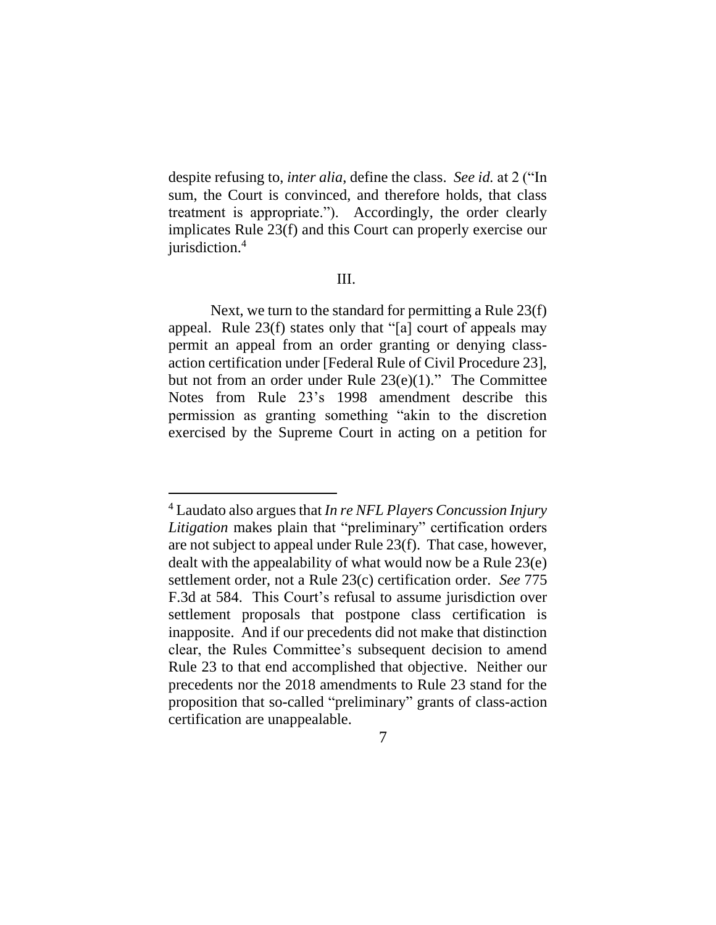despite refusing to, *inter alia*, define the class. *See id.* at 2 ("In sum, the Court is convinced, and therefore holds, that class treatment is appropriate."). Accordingly, the order clearly implicates Rule 23(f) and this Court can properly exercise our jurisdiction.<sup>4</sup>

### III.

Next, we turn to the standard for permitting a Rule 23(f) appeal. Rule 23(f) states only that "[a] court of appeals may permit an appeal from an order granting or denying classaction certification under [Federal Rule of Civil Procedure 23], but not from an order under Rule 23(e)(1)." The Committee Notes from Rule 23's 1998 amendment describe this permission as granting something "akin to the discretion exercised by the Supreme Court in acting on a petition for

<sup>4</sup> Laudato also argues that *In re NFL Players Concussion Injury Litigation* makes plain that "preliminary" certification orders are not subject to appeal under Rule 23(f). That case, however, dealt with the appealability of what would now be a Rule 23(e) settlement order, not a Rule 23(c) certification order. *See* 775 F.3d at 584. This Court's refusal to assume jurisdiction over settlement proposals that postpone class certification is inapposite. And if our precedents did not make that distinction clear, the Rules Committee's subsequent decision to amend Rule 23 to that end accomplished that objective. Neither our precedents nor the 2018 amendments to Rule 23 stand for the proposition that so-called "preliminary" grants of class-action certification are unappealable.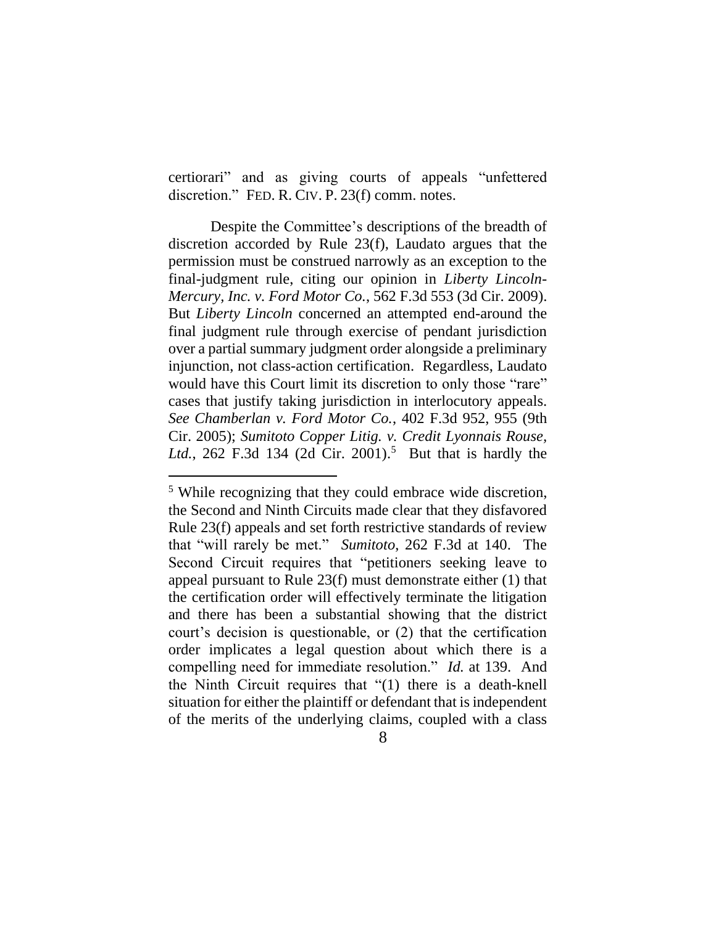certiorari" and as giving courts of appeals "unfettered discretion." FED. R. CIV. P. 23(f) comm. notes.

Despite the Committee's descriptions of the breadth of discretion accorded by Rule 23(f), Laudato argues that the permission must be construed narrowly as an exception to the final-judgment rule, citing our opinion in *Liberty Lincoln-Mercury, Inc. v. Ford Motor Co.*, 562 F.3d 553 (3d Cir. 2009). But *Liberty Lincoln* concerned an attempted end-around the final judgment rule through exercise of pendant jurisdiction over a partial summary judgment order alongside a preliminary injunction, not class-action certification. Regardless, Laudato would have this Court limit its discretion to only those "rare" cases that justify taking jurisdiction in interlocutory appeals. *See Chamberlan v. Ford Motor Co.*, 402 F.3d 952, 955 (9th Cir. 2005); *Sumitoto Copper Litig. v. Credit Lyonnais Rouse, Ltd.*, 262 F.3d 134 (2d Cir. 2001). <sup>5</sup> But that is hardly the

<sup>5</sup> While recognizing that they could embrace wide discretion, the Second and Ninth Circuits made clear that they disfavored Rule 23(f) appeals and set forth restrictive standards of review that "will rarely be met." *Sumitoto*, 262 F.3d at 140. The Second Circuit requires that "petitioners seeking leave to appeal pursuant to Rule 23(f) must demonstrate either (1) that the certification order will effectively terminate the litigation and there has been a substantial showing that the district court's decision is questionable, or (2) that the certification order implicates a legal question about which there is a compelling need for immediate resolution." *Id.* at 139. And the Ninth Circuit requires that "(1) there is a death-knell situation for either the plaintiff or defendant that is independent of the merits of the underlying claims, coupled with a class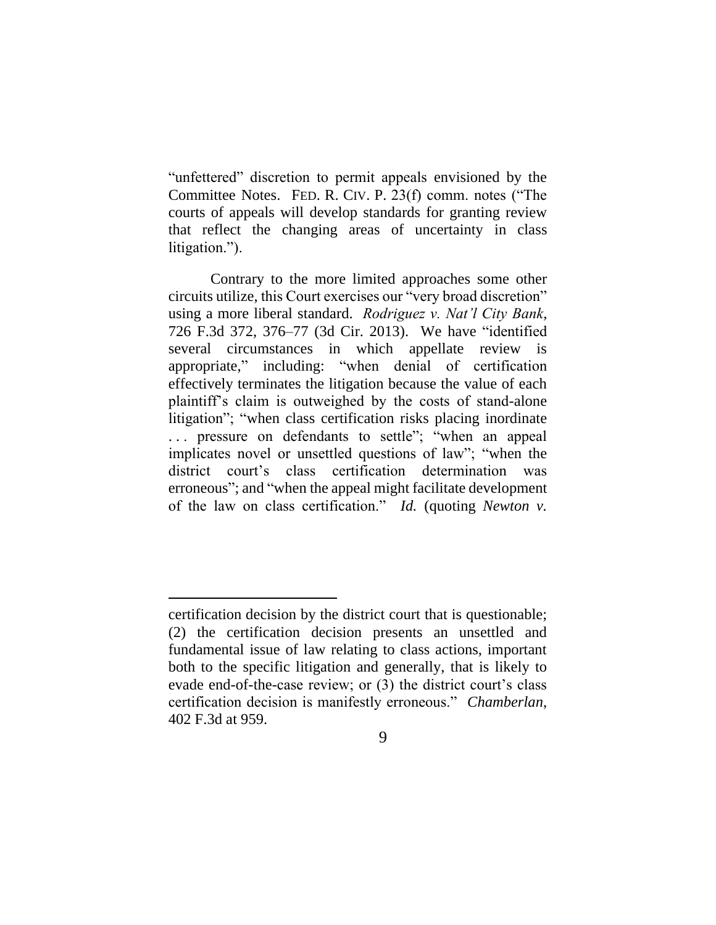"unfettered" discretion to permit appeals envisioned by the Committee Notes. FED. R. CIV. P. 23(f) comm. notes ("The courts of appeals will develop standards for granting review that reflect the changing areas of uncertainty in class litigation.").

Contrary to the more limited approaches some other circuits utilize, this Court exercises our "very broad discretion" using a more liberal standard. *Rodriguez v. Nat'l City Bank*, 726 F.3d 372, 376–77 (3d Cir. 2013). We have "identified several circumstances in which appellate review is appropriate," including: "when denial of certification effectively terminates the litigation because the value of each plaintiff's claim is outweighed by the costs of stand-alone litigation"; "when class certification risks placing inordinate . . . pressure on defendants to settle"; "when an appeal implicates novel or unsettled questions of law"; "when the district court's class certification determination was erroneous"; and "when the appeal might facilitate development of the law on class certification." *Id.* (quoting *Newton v.* 

certification decision by the district court that is questionable; (2) the certification decision presents an unsettled and fundamental issue of law relating to class actions, important both to the specific litigation and generally, that is likely to evade end-of-the-case review; or (3) the district court's class certification decision is manifestly erroneous." *Chamberlan*, 402 F.3d at 959.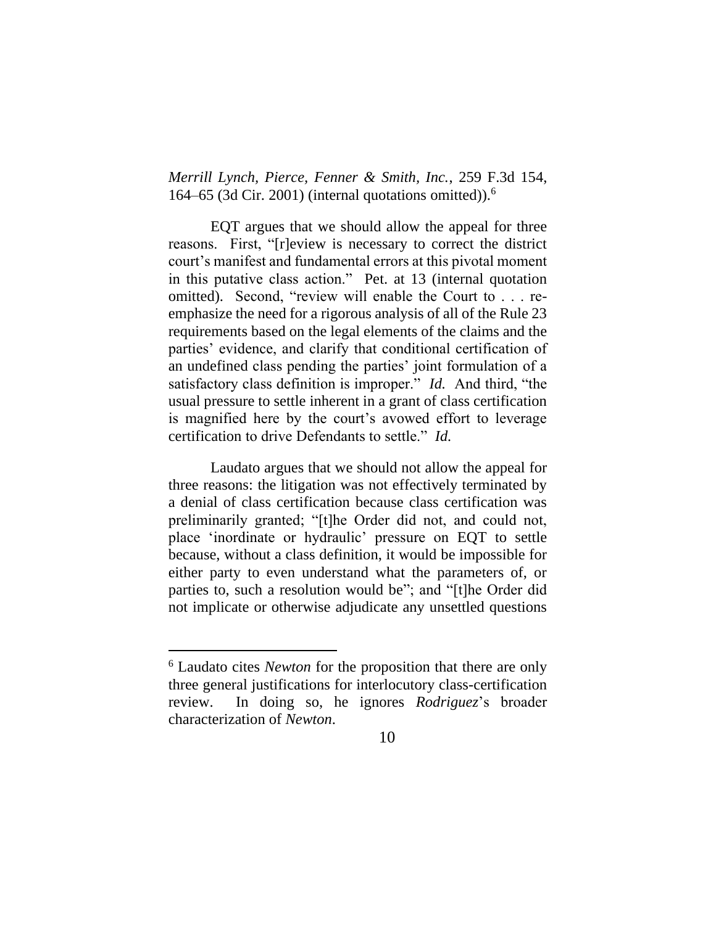*Merrill Lynch, Pierce, Fenner & Smith, Inc.*, 259 F.3d 154, 164–65 (3d Cir. 2001) (internal quotations omitted)).<sup>6</sup>

EQT argues that we should allow the appeal for three reasons. First, "[r]eview is necessary to correct the district court's manifest and fundamental errors at this pivotal moment in this putative class action." Pet. at 13 (internal quotation omitted).Second, "review will enable the Court to . . . reemphasize the need for a rigorous analysis of all of the Rule 23 requirements based on the legal elements of the claims and the parties' evidence, and clarify that conditional certification of an undefined class pending the parties' joint formulation of a satisfactory class definition is improper." *Id.* And third, "the usual pressure to settle inherent in a grant of class certification is magnified here by the court's avowed effort to leverage certification to drive Defendants to settle." *Id.*

Laudato argues that we should not allow the appeal for three reasons: the litigation was not effectively terminated by a denial of class certification because class certification was preliminarily granted; "[t]he Order did not, and could not, place 'inordinate or hydraulic' pressure on EQT to settle because, without a class definition, it would be impossible for either party to even understand what the parameters of, or parties to, such a resolution would be"; and "[t]he Order did not implicate or otherwise adjudicate any unsettled questions

<sup>6</sup> Laudato cites *Newton* for the proposition that there are only three general justifications for interlocutory class-certification review. In doing so, he ignores *Rodriguez*'s broader characterization of *Newton*.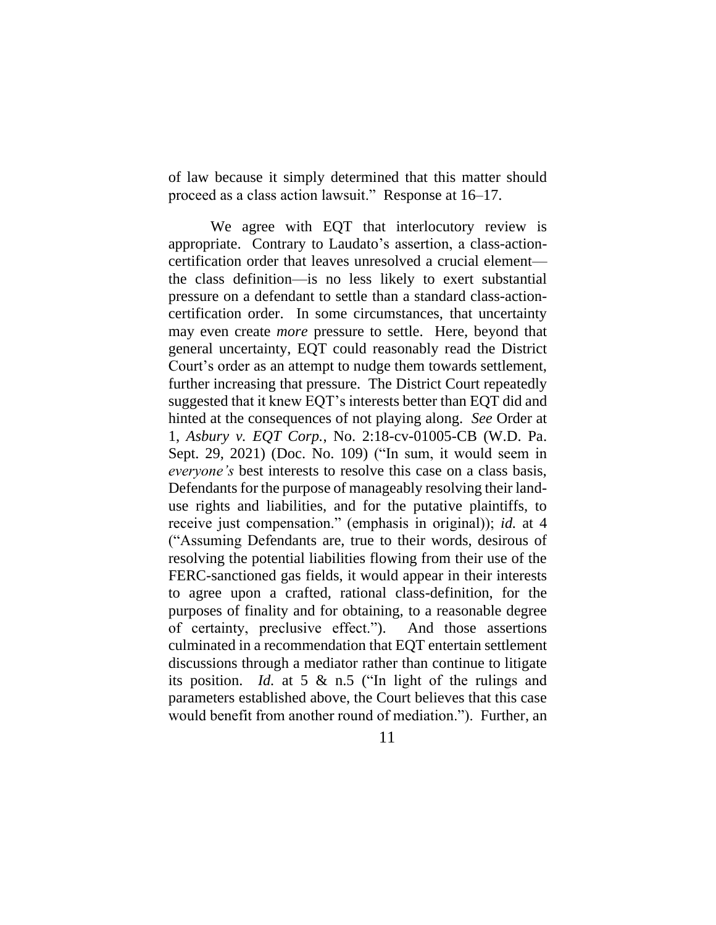of law because it simply determined that this matter should proceed as a class action lawsuit." Response at 16–17.

We agree with EQT that interlocutory review is appropriate. Contrary to Laudato's assertion, a class-actioncertification order that leaves unresolved a crucial element the class definition—is no less likely to exert substantial pressure on a defendant to settle than a standard class-actioncertification order. In some circumstances, that uncertainty may even create *more* pressure to settle. Here, beyond that general uncertainty, EQT could reasonably read the District Court's order as an attempt to nudge them towards settlement, further increasing that pressure. The District Court repeatedly suggested that it knew EQT's interests better than EQT did and hinted at the consequences of not playing along. *See* Order at 1, *Asbury v. EQT Corp.*, No. 2:18-cv-01005-CB (W.D. Pa. Sept. 29, 2021) (Doc. No. 109) ("In sum, it would seem in *everyone's* best interests to resolve this case on a class basis, Defendants for the purpose of manageably resolving their landuse rights and liabilities, and for the putative plaintiffs, to receive just compensation." (emphasis in original)); *id.* at 4 ("Assuming Defendants are, true to their words, desirous of resolving the potential liabilities flowing from their use of the FERC-sanctioned gas fields, it would appear in their interests to agree upon a crafted, rational class-definition, for the purposes of finality and for obtaining, to a reasonable degree of certainty, preclusive effect.").And those assertions culminated in a recommendation that EQT entertain settlement discussions through a mediator rather than continue to litigate its position. *Id.* at 5 & n.5 ("In light of the rulings and parameters established above, the Court believes that this case would benefit from another round of mediation."). Further, an